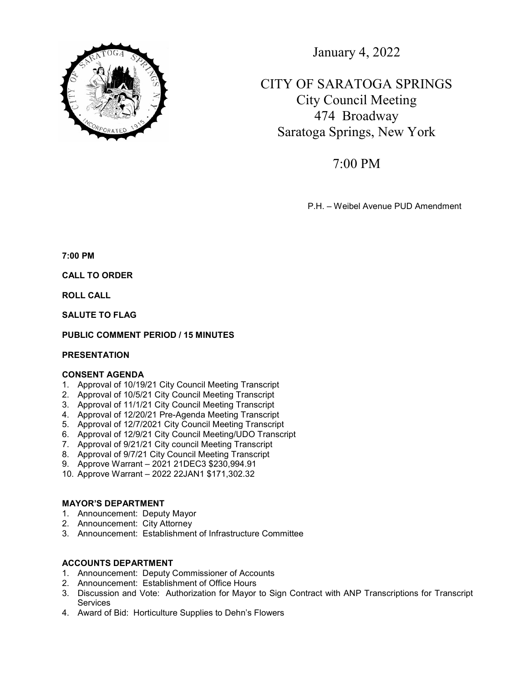

January 4, 2022

CITY OF SARATOGA SPRINGS City Council Meeting 474 Broadway Saratoga Springs, New York

7:00 PM

P.H. – Weibel Avenue PUD Amendment

7:00 PM

CALL TO ORDER

ROLL CALL

SALUTE TO FLAG

# PUBLIC COMMENT PERIOD / 15 MINUTES

### **PRESENTATION**

# CONSENT AGENDA

- 1. Approval of 10/19/21 City Council Meeting Transcript
- 2. Approval of 10/5/21 City Council Meeting Transcript
- 3. Approval of 11/1/21 City Council Meeting Transcript
- 4. Approval of 12/20/21 Pre-Agenda Meeting Transcript
- 5. Approval of 12/7/2021 City Council Meeting Transcript
- 6. Approval of 12/9/21 City Council Meeting/UDO Transcript
- 7. Approval of 9/21/21 City council Meeting Transcript
- 8. Approval of 9/7/21 City Council Meeting Transcript
- 9. Approve Warrant 2021 21DEC3 \$230,994.91
- 10. Approve Warrant 2022 22JAN1 \$171,302.32

# MAYOR'S DEPARTMENT

- 1. Announcement: Deputy Mayor
- 2. Announcement: City Attorney
- 3. Announcement: Establishment of Infrastructure Committee

# ACCOUNTS DEPARTMENT

- 1. Announcement: Deputy Commissioner of Accounts
- 2. Announcement: Establishment of Office Hours
- 3. Discussion and Vote: Authorization for Mayor to Sign Contract with ANP Transcriptions for Transcript **Services**
- 4. Award of Bid: Horticulture Supplies to Dehn's Flowers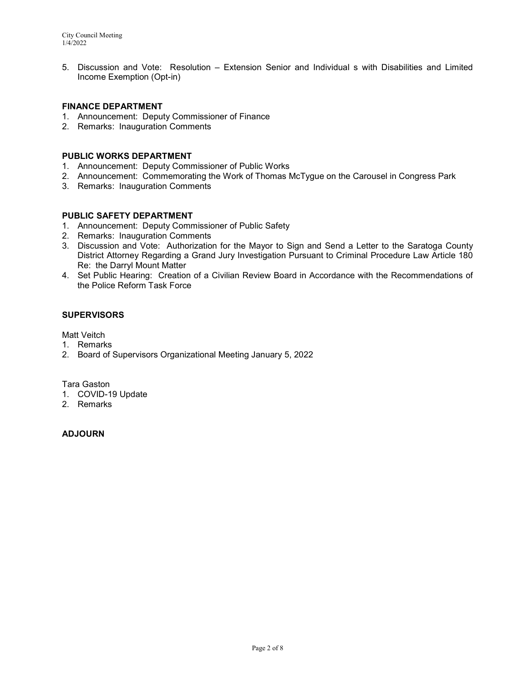5. Discussion and Vote: Resolution – Extension Senior and Individual s with Disabilities and Limited Income Exemption (Opt-in)

# FINANCE DEPARTMENT

- 1. Announcement: Deputy Commissioner of Finance
- 2. Remarks: Inauguration Comments

# PUBLIC WORKS DEPARTMENT

- 1. Announcement: Deputy Commissioner of Public Works
- 2. Announcement: Commemorating the Work of Thomas McTygue on the Carousel in Congress Park
- 3. Remarks: Inauguration Comments

# PUBLIC SAFETY DEPARTMENT

- 1. Announcement: Deputy Commissioner of Public Safety
- 2. Remarks: Inauguration Comments
- 3. Discussion and Vote: Authorization for the Mayor to Sign and Send a Letter to the Saratoga County District Attorney Regarding a Grand Jury Investigation Pursuant to Criminal Procedure Law Article 180 Re: the Darryl Mount Matter
- 4. Set Public Hearing: Creation of a Civilian Review Board in Accordance with the Recommendations of the Police Reform Task Force

# **SUPERVISORS**

Matt Veitch

- 1. Remarks
- 2. Board of Supervisors Organizational Meeting January 5, 2022

Tara Gaston

- 1. COVID-19 Update
- 2. Remarks

# ADJOURN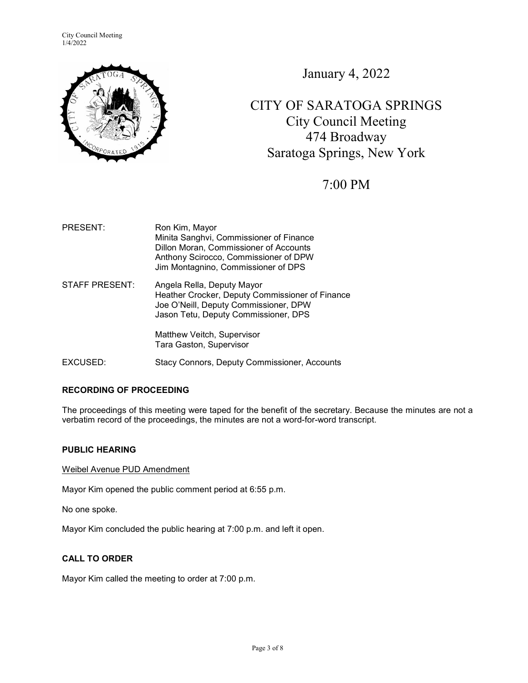City Council Meeting 1/4/2022



January 4, 2022

CITY OF SARATOGA SPRINGS City Council Meeting 474 Broadway Saratoga Springs, New York

# 7:00 PM

PRESENT: Ron Kim, Mayor Minita Sanghvi, Commissioner of Finance Dillon Moran, Commissioner of Accounts Anthony Scirocco, Commissioner of DPW Jim Montagnino, Commissioner of DPS STAFF PRESENT: Angela Rella, Deputy Mayor Heather Crocker, Deputy Commissioner of Finance Joe O'Neill, Deputy Commissioner, DPW Jason Tetu, Deputy Commissioner, DPS

> Matthew Veitch, Supervisor Tara Gaston, Supervisor

EXCUSED: Stacy Connors, Deputy Commissioner, Accounts

# RECORDING OF PROCEEDING

The proceedings of this meeting were taped for the benefit of the secretary. Because the minutes are not a verbatim record of the proceedings, the minutes are not a word-for-word transcript.

### PUBLIC HEARING

Weibel Avenue PUD Amendment

Mayor Kim opened the public comment period at 6:55 p.m.

No one spoke.

Mayor Kim concluded the public hearing at 7:00 p.m. and left it open.

### CALL TO ORDER

Mayor Kim called the meeting to order at 7:00 p.m.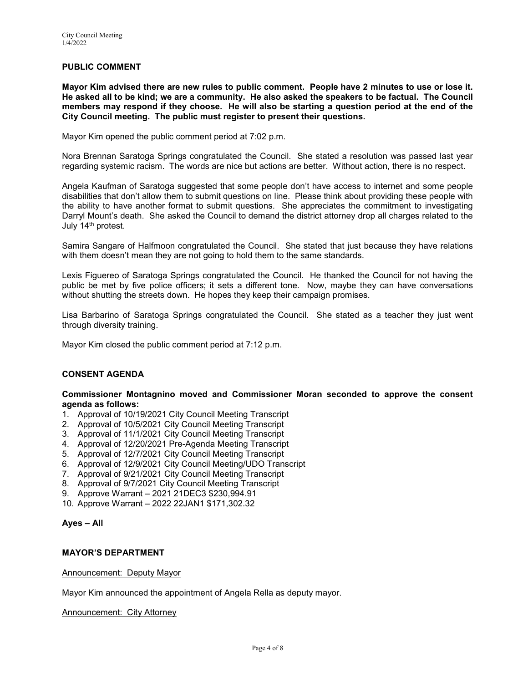# PUBLIC COMMENT

Mayor Kim advised there are new rules to public comment. People have 2 minutes to use or lose it. He asked all to be kind; we are a community. He also asked the speakers to be factual. The Council members may respond if they choose. He will also be starting a question period at the end of the City Council meeting. The public must register to present their questions.

Mayor Kim opened the public comment period at 7:02 p.m.

Nora Brennan Saratoga Springs congratulated the Council. She stated a resolution was passed last year regarding systemic racism. The words are nice but actions are better. Without action, there is no respect.

Angela Kaufman of Saratoga suggested that some people don't have access to internet and some people disabilities that don't allow them to submit questions on line. Please think about providing these people with the ability to have another format to submit questions. She appreciates the commitment to investigating Darryl Mount's death. She asked the Council to demand the district attorney drop all charges related to the July 14th protest.

Samira Sangare of Halfmoon congratulated the Council. She stated that just because they have relations with them doesn't mean they are not going to hold them to the same standards.

Lexis Figuereo of Saratoga Springs congratulated the Council. He thanked the Council for not having the public be met by five police officers; it sets a different tone. Now, maybe they can have conversations without shutting the streets down. He hopes they keep their campaign promises.

Lisa Barbarino of Saratoga Springs congratulated the Council. She stated as a teacher they just went through diversity training.

Mayor Kim closed the public comment period at 7:12 p.m.

# CONSENT AGENDA

### Commissioner Montagnino moved and Commissioner Moran seconded to approve the consent agenda as follows:

- 1. Approval of 10/19/2021 City Council Meeting Transcript
- 2. Approval of 10/5/2021 City Council Meeting Transcript
- 3. Approval of 11/1/2021 City Council Meeting Transcript
- 4. Approval of 12/20/2021 Pre-Agenda Meeting Transcript
- 5. Approval of 12/7/2021 City Council Meeting Transcript
- 6. Approval of 12/9/2021 City Council Meeting/UDO Transcript
- 7. Approval of 9/21/2021 City Council Meeting Transcript
- 8. Approval of 9/7/2021 City Council Meeting Transcript
- 9. Approve Warrant 2021 21DEC3 \$230,994.91
- 10. Approve Warrant 2022 22JAN1 \$171,302.32

### Ayes – All

### MAYOR'S DEPARTMENT

### Announcement: Deputy Mayor

Mayor Kim announced the appointment of Angela Rella as deputy mayor.

### Announcement: City Attorney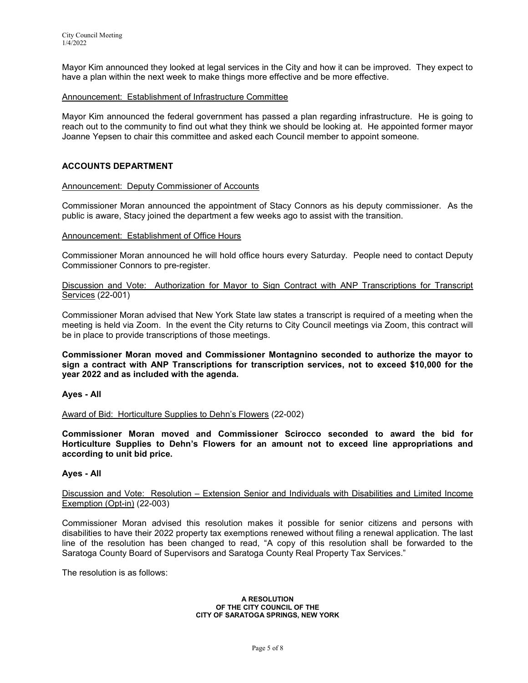Mayor Kim announced they looked at legal services in the City and how it can be improved. They expect to have a plan within the next week to make things more effective and be more effective.

### Announcement: Establishment of Infrastructure Committee

Mayor Kim announced the federal government has passed a plan regarding infrastructure. He is going to reach out to the community to find out what they think we should be looking at. He appointed former mayor Joanne Yepsen to chair this committee and asked each Council member to appoint someone.

# ACCOUNTS DEPARTMENT

### Announcement: Deputy Commissioner of Accounts

Commissioner Moran announced the appointment of Stacy Connors as his deputy commissioner. As the public is aware, Stacy joined the department a few weeks ago to assist with the transition.

### Announcement: Establishment of Office Hours

Commissioner Moran announced he will hold office hours every Saturday. People need to contact Deputy Commissioner Connors to pre-register.

Discussion and Vote: Authorization for Mayor to Sign Contract with ANP Transcriptions for Transcript Services (22-001)

Commissioner Moran advised that New York State law states a transcript is required of a meeting when the meeting is held via Zoom. In the event the City returns to City Council meetings via Zoom, this contract will be in place to provide transcriptions of those meetings.

Commissioner Moran moved and Commissioner Montagnino seconded to authorize the mayor to sign a contract with ANP Transcriptions for transcription services, not to exceed \$10,000 for the year 2022 and as included with the agenda.

Ayes - All

Award of Bid: Horticulture Supplies to Dehn's Flowers (22-002)

Commissioner Moran moved and Commissioner Scirocco seconded to award the bid for Horticulture Supplies to Dehn's Flowers for an amount not to exceed line appropriations and according to unit bid price.

### Ayes - All

Discussion and Vote: Resolution – Extension Senior and Individuals with Disabilities and Limited Income Exemption (Opt-in) (22-003)

Commissioner Moran advised this resolution makes it possible for senior citizens and persons with disabilities to have their 2022 property tax exemptions renewed without filing a renewal application. The last line of the resolution has been changed to read, "A copy of this resolution shall be forwarded to the Saratoga County Board of Supervisors and Saratoga County Real Property Tax Services."

The resolution is as follows:

#### A RESOLUTION OF THE CITY COUNCIL OF THE CITY OF SARATOGA SPRINGS, NEW YORK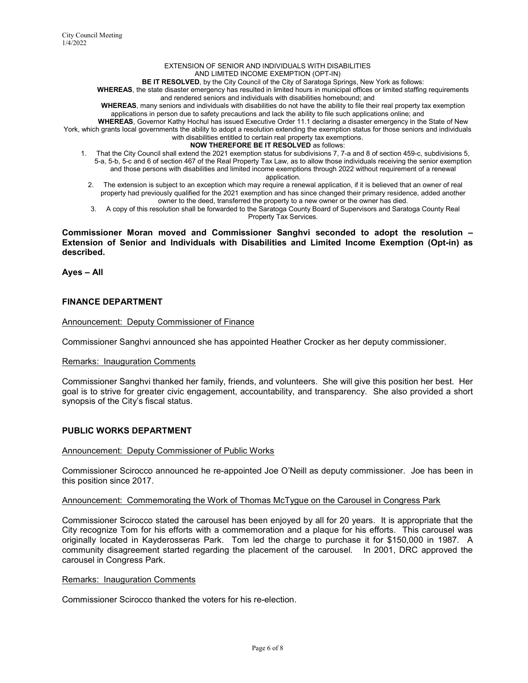#### EXTENSION OF SENIOR AND INDIVIDUALS WITH DISABILITIES AND LIMITED INCOME EXEMPTION (OPT-IN)

BE IT RESOLVED, by the City Council of the City of Saratoga Springs, New York as follows:

WHEREAS, the state disaster emergency has resulted in limited hours in municipal offices or limited staffing requirements

and rendered seniors and individuals with disabilities homebound; and

WHEREAS, many seniors and individuals with disabilities do not have the ability to file their real property tax exemption applications in person due to safety precautions and lack the ability to file such applications online; and

WHEREAS, Governor Kathy Hochul has issued Executive Order 11.1 declaring a disaster emergency in the State of New York, which grants local governments the ability to adopt a resolution extending the exemption status for those seniors and individuals with disabilities entitled to certain real property tax exemptions.

### NOW THEREFORE BE IT RESOLVED as follows:

- 1. That the City Council shall extend the 2021 exemption status for subdivisions 7, 7-a and 8 of section 459-c, subdivisions 5, 5-a, 5-b, 5-c and 6 of section 467 of the Real Property Tax Law, as to allow those individuals receiving the senior exemption and those persons with disabilities and limited income exemptions through 2022 without requirement of a renewal
	- application.
	- 2. The extension is subject to an exception which may require a renewal application, if it is believed that an owner of real property had previously qualified for the 2021 exemption and has since changed their primary residence, added another owner to the deed, transferred the property to a new owner or the owner has died.
	- 3. A copy of this resolution shall be forwarded to the Saratoga County Board of Supervisors and Saratoga County Real Property Tax Services.

### Commissioner Moran moved and Commissioner Sanghvi seconded to adopt the resolution – Extension of Senior and Individuals with Disabilities and Limited Income Exemption (Opt-in) as described.

Ayes – All

### FINANCE DEPARTMENT

### Announcement: Deputy Commissioner of Finance

Commissioner Sanghvi announced she has appointed Heather Crocker as her deputy commissioner.

### Remarks: Inauguration Comments

Commissioner Sanghvi thanked her family, friends, and volunteers. She will give this position her best. Her goal is to strive for greater civic engagement, accountability, and transparency. She also provided a short synopsis of the City's fiscal status.

### PUBLIC WORKS DEPARTMENT

### Announcement: Deputy Commissioner of Public Works

Commissioner Scirocco announced he re-appointed Joe O'Neill as deputy commissioner. Joe has been in this position since 2017.

### Announcement: Commemorating the Work of Thomas McTygue on the Carousel in Congress Park

Commissioner Scirocco stated the carousel has been enjoyed by all for 20 years. It is appropriate that the City recognize Tom for his efforts with a commemoration and a plaque for his efforts. This carousel was originally located in Kayderosseras Park. Tom led the charge to purchase it for \$150,000 in 1987. A community disagreement started regarding the placement of the carousel. In 2001, DRC approved the carousel in Congress Park.

### Remarks: Inauguration Comments

Commissioner Scirocco thanked the voters for his re-election.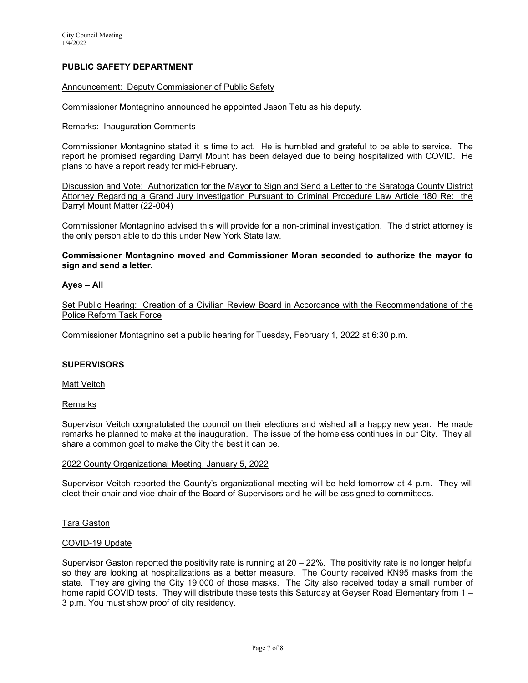# PUBLIC SAFETY DEPARTMENT

### Announcement: Deputy Commissioner of Public Safety

Commissioner Montagnino announced he appointed Jason Tetu as his deputy.

### Remarks: Inauguration Comments

Commissioner Montagnino stated it is time to act. He is humbled and grateful to be able to service. The report he promised regarding Darryl Mount has been delayed due to being hospitalized with COVID. He plans to have a report ready for mid-February.

Discussion and Vote: Authorization for the Mayor to Sign and Send a Letter to the Saratoga County District Attorney Regarding a Grand Jury Investigation Pursuant to Criminal Procedure Law Article 180 Re: the Darryl Mount Matter (22-004)

Commissioner Montagnino advised this will provide for a non-criminal investigation. The district attorney is the only person able to do this under New York State law.

Commissioner Montagnino moved and Commissioner Moran seconded to authorize the mayor to sign and send a letter.

### Ayes – All

Set Public Hearing: Creation of a Civilian Review Board in Accordance with the Recommendations of the Police Reform Task Force

Commissioner Montagnino set a public hearing for Tuesday, February 1, 2022 at 6:30 p.m.

### **SUPERVISORS**

Matt Veitch

### Remarks

Supervisor Veitch congratulated the council on their elections and wished all a happy new year. He made remarks he planned to make at the inauguration. The issue of the homeless continues in our City. They all share a common goal to make the City the best it can be.

### 2022 County Organizational Meeting, January 5, 2022

Supervisor Veitch reported the County's organizational meeting will be held tomorrow at 4 p.m. They will elect their chair and vice-chair of the Board of Supervisors and he will be assigned to committees.

### Tara Gaston

### COVID-19 Update

Supervisor Gaston reported the positivity rate is running at 20 – 22%. The positivity rate is no longer helpful so they are looking at hospitalizations as a better measure. The County received KN95 masks from the state. They are giving the City 19,000 of those masks. The City also received today a small number of home rapid COVID tests. They will distribute these tests this Saturday at Geyser Road Elementary from 1-3 p.m. You must show proof of city residency.